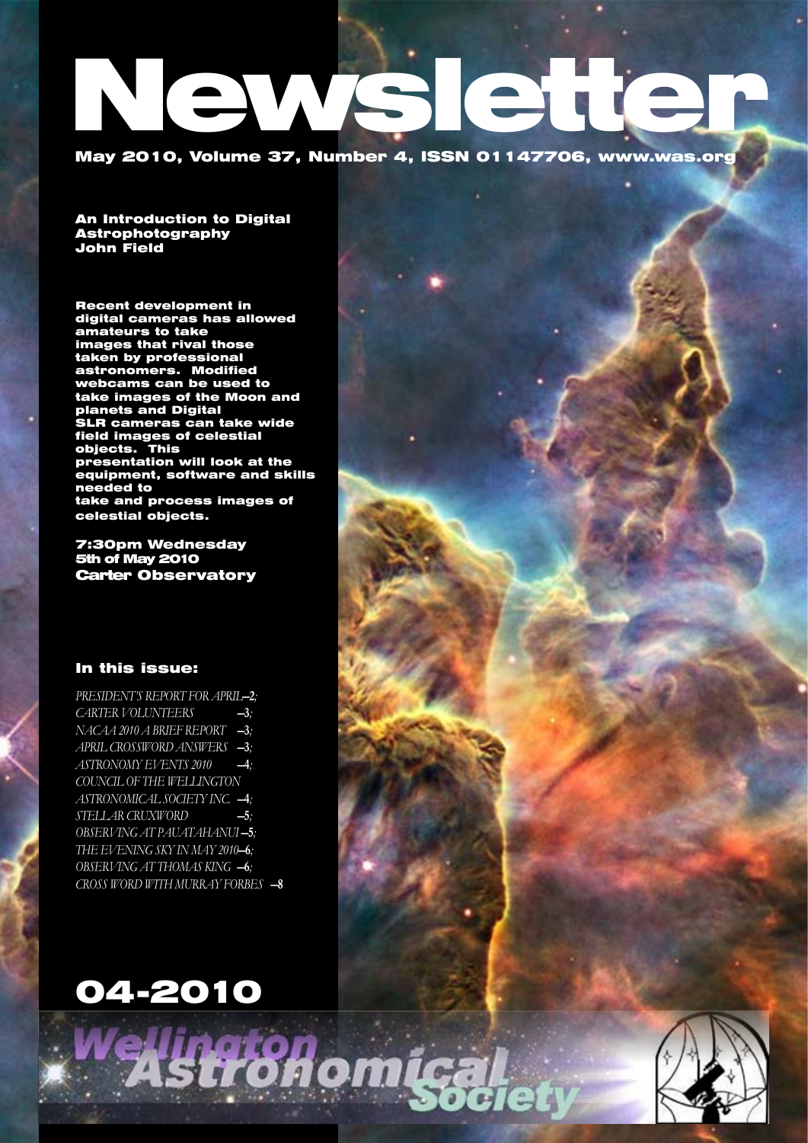# **Ien** May 2010, Volume 37, Number 4, ISSN 01147706, www.was.org

An Introduction to Digital Astrophotography John Field

Recent development in digital cameras has allowed amateurs to take images that rival those taken by professional astronomers. Modified webcams can be used to take images of the Moon and planets and Digital SLR cameras can take wide field images of celestial objects. This presentation will look at the equipment, software and skills needed to take and process images of celestial objects.

7:30pm Wednesday 5th of May 2010 Carter Observatory

## In this issue:

*PRESIDENT'S REPORT FOR APRIL-2; CARTER VOLUNTEERS* —3*; NACAA 2010 a brief report* —3*; April Crossword answers* —3*; ASTRONOMY EVENTS 2010* —4*; COUNCIL OF THE WELLINGTON ASTRONOMICAL SOCIETY INC.* —4*; STELLAR CRUXWORD* -5; OBSERVING AT PAUATAHANUI-5; *THE EVENING SKY IN MAY 2010-6;* OBSERVING AT THOMAS KING -6; *Cross Word with Murray Forbes* —8

# 04-2010

tronomig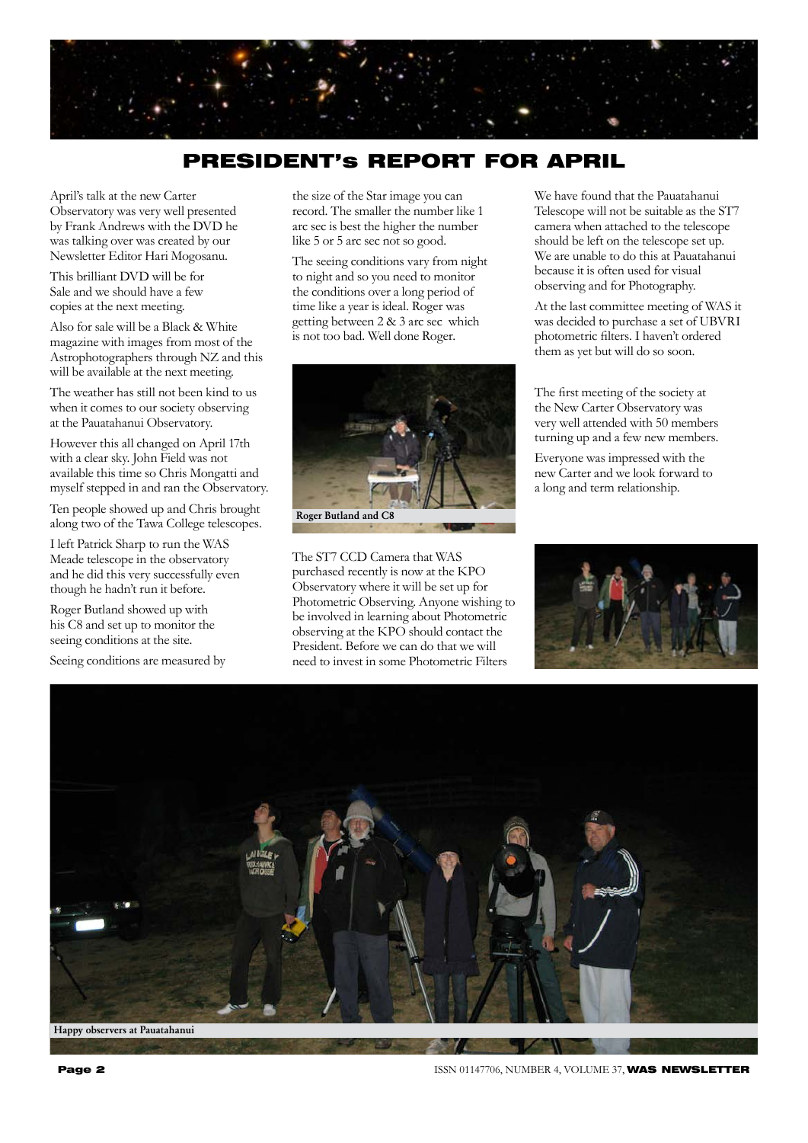

# PRESIDENT's REPORT FOR APRIL

April's talk at the new Carter Observatory was very well presented by Frank Andrews with the DVD he was talking over was created by our Newsletter Editor Hari Mogosanu.

This brilliant DVD will be for Sale and we should have a few copies at the next meeting.

Also for sale will be a Black & White magazine with images from most of the Astrophotographers through NZ and this will be available at the next meeting.

The weather has still not been kind to us when it comes to our society observing at the Pauatahanui Observatory.

However this all changed on April 17th with a clear sky. John Field was not available this time so Chris Mongatti and myself stepped in and ran the Observatory.

Ten people showed up and Chris brought along two of the Tawa College telescopes.

I left Patrick Sharp to run the WAS Meade telescope in the observatory and he did this very successfully even though he hadn't run it before.

Roger Butland showed up with his C8 and set up to monitor the seeing conditions at the site.

Seeing conditions are measured by

the size of the Star image you can record. The smaller the number like 1 arc sec is best the higher the number like 5 or 5 arc sec not so good.

The seeing conditions vary from night to night and so you need to monitor the conditions over a long period of time like a year is ideal. Roger was getting between 2 & 3 arc sec which is not too bad. Well done Roger.



The ST7 CCD Camera that WAS purchased recently is now at the KPO Observatory where it will be set up for Photometric Observing. Anyone wishing to be involved in learning about Photometric observing at the KPO should contact the President. Before we can do that we will need to invest in some Photometric Filters

We have found that the Pauatahanui Telescope will not be suitable as the ST7 camera when attached to the telescope should be left on the telescope set up. We are unable to do this at Pauatahanui because it is often used for visual observing and for Photography.

At the last committee meeting of WAS it was decided to purchase a set of UBVRI photometric filters. I haven't ordered them as yet but will do so soon.

The first meeting of the society at the New Carter Observatory was very well attended with 50 members turning up and a few new members.

Everyone was impressed with the new Carter and we look forward to a long and term relationship.





**Page 2 ISSN 01147706, NUMBER 4, VOLUME 37, WAS NEWSLETTER**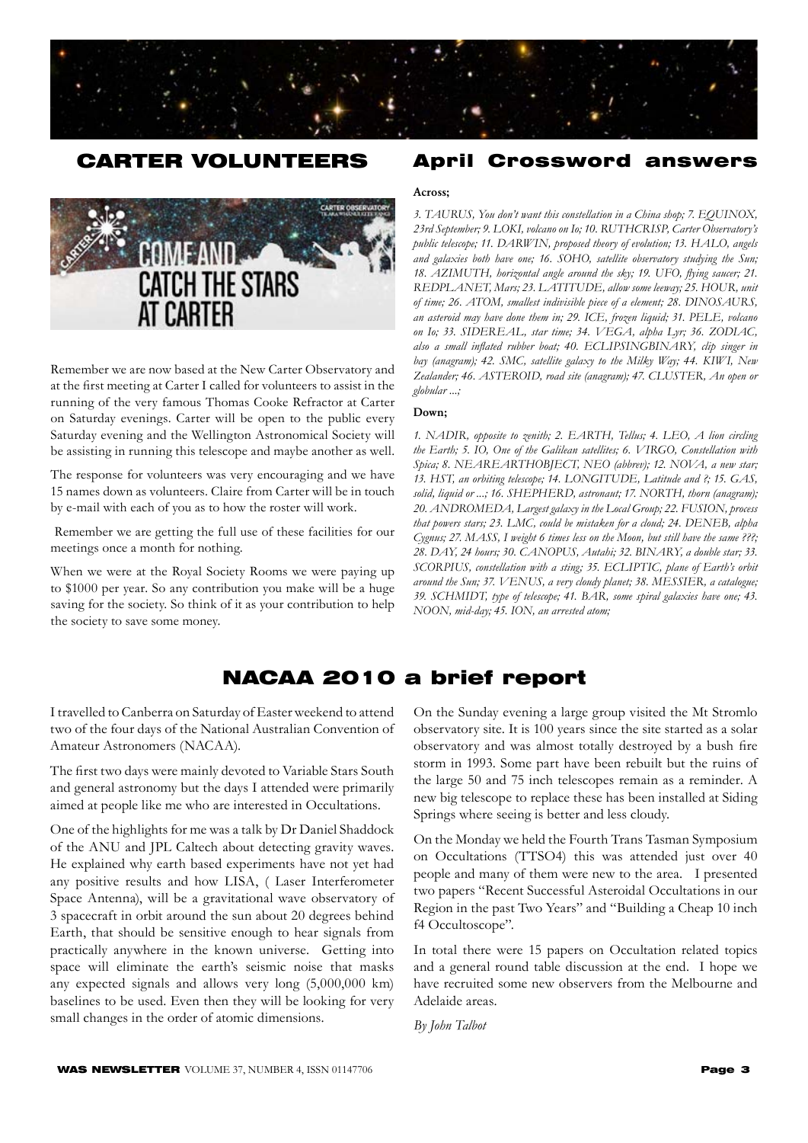

# CARTER VOLUNTEERS



Remember we are now based at the New Carter Observatory and at the first meeting at Carter I called for volunteers to assist in the running of the very famous Thomas Cooke Refractor at Carter on Saturday evenings. Carter will be open to the public every Saturday evening and the Wellington Astronomical Society will be assisting in running this telescope and maybe another as well.

The response for volunteers was very encouraging and we have 15 names down as volunteers. Claire from Carter will be in touch by e-mail with each of you as to how the roster will work.

 Remember we are getting the full use of these facilities for our meetings once a month for nothing.

When we were at the Royal Society Rooms we were paying up to \$1000 per year. So any contribution you make will be a huge saving for the society. So think of it as your contribution to help the society to save some money.

## April Crossword answers

#### Across;

3. TAURUS, You don't want this constellation in a China shop; 7. EQUINOX, 23rd September; 9. LOKI, volcano on Io; 10. RUTHCRISP, Carter Observatory's *public telescope; 11. DARWIN, proposed theory of evolution; 13. HALO, angels* and galaxies both have one; 16. SOHO, satellite observatory studying the Sun; 18. AZIMUTH, horizontal angle around the sky; 19. UFO, flying saucer; 21. REDPLANET, Mars; 23. LATITUDE, allow some leeway; 25. HOUR, unit of time; 26. ATOM, smallest indivisible piece of a element; 28. DINOSAURS, an asteroid may have done them in; 29. ICE, frozen liquid; 31. PELE, volcano on Io; 33. SIDEREAL, star time; 34. VEGA, alpha Lyr; 36. ZODIAC, also a small inflated rubber boat; 40. ECLIPSINGBINARY, clip singer in bay (anagram); 42. SMC, satellite galaxy to the Milky Way; 44. KIWI, New Zealander; 46. ASTEROID, road site (anagram); 47. CLUSTER, An open or *globular ...;*

#### Down;

1. NADIR, opposite to zenith; 2. EARTH, Tellus; 4. LEO, A lion circling the Earth; 5. IO, One of the Galilean satellites; 6. VIRGO, Constellation with Spica; 8. NEAREARTHOBJECT, NEO (abbrev); 12. NOVA, a new star; 13. HST, an orbiting telescope; 14. LONGITUDE, Latitude and ?; 15. GAS, solid, liquid or ...; 16. SHEPHERD, astronaut; 17. NORTH, thorn (anagram); 20. ANDROMEDA, Largest galaxy in the Local Group; 22. FUSION, process that powers stars; 23. LMC, could be mistaken for a cloud; 24. DENEB, alpha *Cygnus; 27. MASS, I weight 6 times less on the Moon, but still have the same ???;* 28. DAY, 24 hours; 30. CANOPUS, Autahi; 32. BINARY, a double star; 33. SCORPIUS, constellation with a sting; 35. ECLIPTIC, plane of Earth's orbit around the Sun; 37. VENUS, a very cloudy planet; 38. MESSIER, a catalogue; *39. SCHMIDT' type of telescope; 41. BAR' some spiral galaxies have one; 43. NOON, mid-day; 45. ION, an arrested atom;* 

# NACAA 2010 a brief report

I travelled to Canberra on Saturday of Easter weekend to attend two of the four days of the National Australian Convention of Amateur Astronomers (NACAA).

The first two days were mainly devoted to Variable Stars South and general astronomy but the days I attended were primarily aimed at people like me who are interested in Occultations.

One of the highlights for me was a talk by Dr Daniel Shaddock of the ANU and JPL Caltech about detecting gravity waves. He explained why earth based experiments have not yet had any positive results and how LISA, ( Laser Interferometer Space Antenna), will be a gravitational wave observatory of 3 spacecraft in orbit around the sun about 20 degrees behind Earth, that should be sensitive enough to hear signals from practically anywhere in the known universe. Getting into space will eliminate the earth's seismic noise that masks any expected signals and allows very long (5,000,000 km) baselines to be used. Even then they will be looking for very small changes in the order of atomic dimensions.

On the Sunday evening a large group visited the Mt Stromlo observatory site. It is 100 years since the site started as a solar observatory and was almost totally destroyed by a bush fire storm in 1993. Some part have been rebuilt but the ruins of the large 50 and 75 inch telescopes remain as a reminder. A new big telescope to replace these has been installed at Siding Springs where seeing is better and less cloudy.

On the Monday we held the Fourth Trans Tasman Symposium on Occultations (TTSO4) this was attended just over 40 people and many of them were new to the area. I presented two papers "Recent Successful Asteroidal Occultations in our Region in the past Two Years" and "Building a Cheap 10 inch f4 Occultoscope".

In total there were 15 papers on Occultation related topics and a general round table discussion at the end. I hope we have recruited some new observers from the Melbourne and Adelaide areas.

*By John Talbot*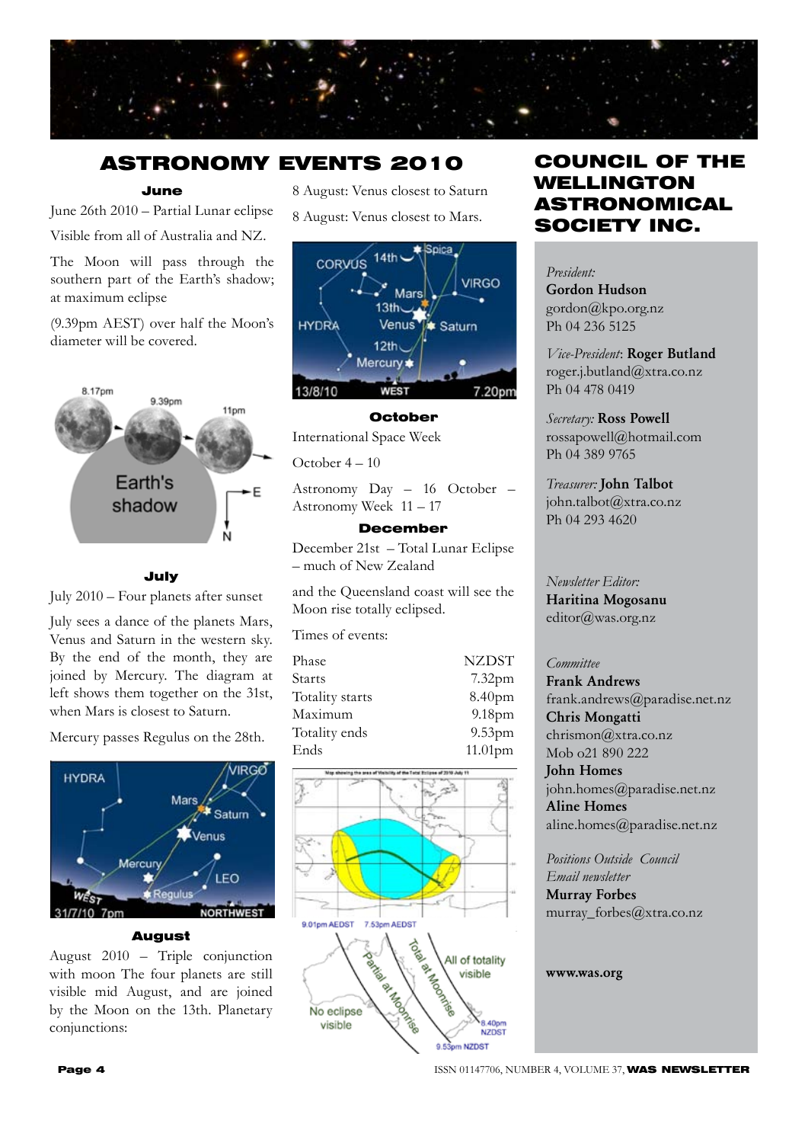

# ASTRONOMY EVENTS 2010

## June

June 26th 2010 – Partial Lunar eclipse Visible from all of Australia and NZ.

The Moon will pass through the southern part of the Earth's shadow; at maximum eclipse

(9.39pm AEST) over half the Moon's diameter will be covered.



## July

July 2010 – Four planets after sunset

July sees a dance of the planets Mars, Venus and Saturn in the western sky. By the end of the month, they are joined by Mercury. The diagram at left shows them together on the 31st, when Mars is closest to Saturn.

Mercury passes Regulus on the 28th.



#### August

August 2010 – Triple conjunction with moon The four planets are still visible mid August, and are joined by the Moon on the 13th. Planetary conjunctions:

8 August: Venus closest to Saturn

8 August: Venus closest to Mars.



### October

International Space Week

October 4 – 10

Astronomy Day – 16 October – Astronomy Week 11 – 17

## December

December 21st – Total Lunar Eclipse – much of New Zealand

and the Queensland coast will see the Moon rise totally eclipsed.

Times of events:

| Phase           | <b>NZDST</b>       |
|-----------------|--------------------|
| Starts          | $7.32$ pm          |
| Totality starts | 8.40pm             |
| Maximum         | 9.18 <sub>pm</sub> |
| Totality ends   | $9.53$ pm          |
| Ends            | 11.01pm            |



# COUNCIL OF THE WELLINGTON ASTRONOMICAL SOCIETY INC.

*President:*  Gordon Hudson gordon@kpo.org.nz Ph 04 236 5125

*Vice-President*: Roger Butland roger.j.butland@xtra.co.nz Ph 04 478 0419

*Secretary:* Ross Powell rossapowell@hotmail.com Ph 04 389 9765

*Treasurer:* John Talbot john.talbot@xtra.co.nz Ph 04 293 4620

*Newsletter Editor:*  Haritina Mogosanu editor@was.org.nz

## *Committee*

Frank Andrews frank.andrews@paradise.net.nz Chris Mongatti chrismon@xtra.co.nz Mob o21 890 222 John Homes

john.homes@paradise.net.nz Aline Homes aline.homes@paradise.net.nz

*Positions Outside Council Email newsletter* Murray Forbes murray\_forbes@xtra.co.nz

www.was.org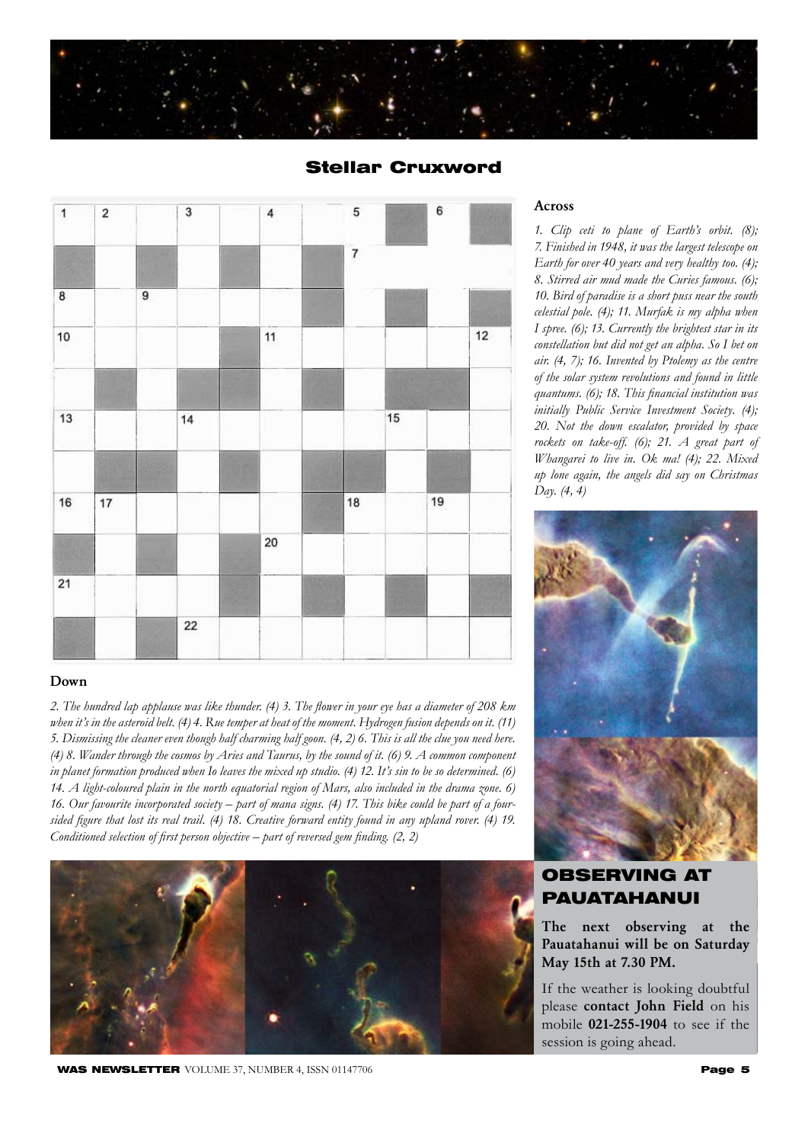





## Down

*2. The hundred lap applause was like thunder. (4) 3. The flower in your eye has a diameter of 208 km when it's in the asteroid belt. (4) 4. Rue temper at heat of the moment. Hydrogen fusion depends on it. (11) 5. Dismissing the cleaner even though half charming half goon. (4, 2) 6. This is all the clue you need here. (4) 8. Wander through the cosmos by Aries and Taurus, by the sound of it. (6) 9. A common component in planet formation produced when Io leaves the mixed up studio. (4) 12. It's sin to be so determined. (6) 14. A light-coloured plain in the north equatorial region of Mars, also included in the drama zone. 6) 16. Our favourite incorporated society – part of mana signs. (4) 17. This bike could be part of a foursided figure that lost its real trail. (4) 18. Creative forward entity found in any upland rover. (4) 19. Conditioned selection of first person objective – part of reversed gem finding. (2, 2)* 



#### WAS NEWSLETTER VOLUME 37, NUMBER 4, ISSN 01147706 Page 5 Page 5

## Across

*1. Clip ceti to plane of Earth's orbit. (8); 7. Finished in 1948, it was the largest telescope on Earth for over 40 years and very healthy too. (4); 8. Stirred air mud made the Curies famous. (6); 10. Bird of paradise is a short puss near the south celestial pole. (4); 11. Murfak is my alpha when I spree. (6); 13. Currently the brightest star in its constellation but did not get an alpha. So I bet on air. (4, 7); 16. Invented by Ptolemy as the centre of the solar system revolutions and found in little quantums. (6); 18. This financial institution was initially Public Service Investment Society. (4); 20. Not the down escalator, provided by space rockets on take-off. (6); 21. A great part of Whangarei to live in. Ok ma! (4); 22. Mixed up lone again, the angels did say on Christmas Day. (4, 4)*



# OBSERVING AT PAUATAHANUI

The next observing at the Pauatahanui will be on Saturday May 15th at 7.30 PM.

If the weather is looking doubtful please contact John Field on his mobile 021-255-1904 to see if the session is going ahead.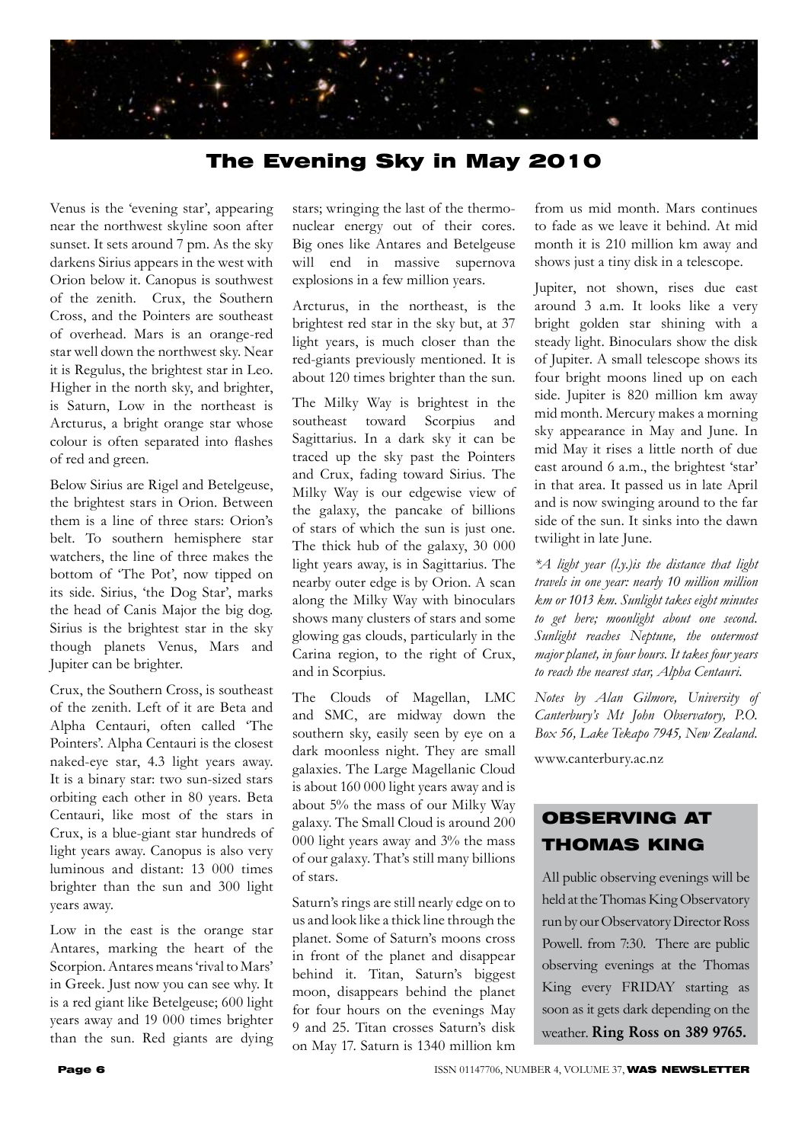

# The Evening Sky in May 2010

Venus is the 'evening star', appearing near the northwest skyline soon after sunset. It sets around 7 pm. As the sky darkens Sirius appears in the west with Orion below it. Canopus is southwest of the zenith. Crux, the Southern Cross, and the Pointers are southeast of overhead. Mars is an orange-red star well down the northwest sky. Near it is Regulus, the brightest star in Leo. Higher in the north sky, and brighter, is Saturn, Low in the northeast is Arcturus, a bright orange star whose colour is often separated into flashes of red and green.

Below Sirius are Rigel and Betelgeuse, the brightest stars in Orion. Between them is a line of three stars: Orion's belt. To southern hemisphere star watchers, the line of three makes the bottom of 'The Pot', now tipped on its side. Sirius, 'the Dog Star', marks the head of Canis Major the big dog. Sirius is the brightest star in the sky though planets Venus, Mars and Jupiter can be brighter.

Crux, the Southern Cross, is southeast of the zenith. Left of it are Beta and Alpha Centauri, often called 'The Pointers'. Alpha Centauri is the closest naked-eye star, 4.3 light years away. It is a binary star: two sun-sized stars orbiting each other in 80 years. Beta Centauri, like most of the stars in Crux, is a blue-giant star hundreds of light years away. Canopus is also very luminous and distant: 13 000 times brighter than the sun and 300 light years away.

Low in the east is the orange star Antares, marking the heart of the Scorpion. Antares means 'rival to Mars' in Greek. Just now you can see why. It is a red giant like Betelgeuse; 600 light years away and 19 000 times brighter than the sun. Red giants are dying stars; wringing the last of the thermonuclear energy out of their cores. Big ones like Antares and Betelgeuse will end in massive supernova explosions in a few million years.

Arcturus, in the northeast, is the brightest red star in the sky but, at 37 light years, is much closer than the red-giants previously mentioned. It is about 120 times brighter than the sun.

The Milky Way is brightest in the southeast toward Scorpius and Sagittarius. In a dark sky it can be traced up the sky past the Pointers and Crux, fading toward Sirius. The Milky Way is our edgewise view of the galaxy, the pancake of billions of stars of which the sun is just one. The thick hub of the galaxy, 30 000 light years away, is in Sagittarius. The nearby outer edge is by Orion. A scan along the Milky Way with binoculars shows many clusters of stars and some glowing gas clouds, particularly in the Carina region, to the right of Crux, and in Scorpius.

The Clouds of Magellan, LMC and SMC, are midway down the southern sky, easily seen by eye on a dark moonless night. They are small galaxies. The Large Magellanic Cloud is about 160 000 light years away and is about 5% the mass of our Milky Way galaxy. The Small Cloud is around 200 000 light years away and 3% the mass of our galaxy. That's still many billions of stars.

Saturn's rings are still nearly edge on to us and look like a thick line through the planet. Some of Saturn's moons cross in front of the planet and disappear behind it. Titan, Saturn's biggest moon, disappears behind the planet for four hours on the evenings May 9 and 25. Titan crosses Saturn's disk on May 17. Saturn is 1340 million km

from us mid month. Mars continues to fade as we leave it behind. At mid month it is 210 million km away and shows just a tiny disk in a telescope.

Jupiter, not shown, rises due east around 3 a.m. It looks like a very bright golden star shining with a steady light. Binoculars show the disk of Jupiter. A small telescope shows its four bright moons lined up on each side. Jupiter is 820 million km away mid month. Mercury makes a morning sky appearance in May and June. In mid May it rises a little north of due east around 6 a.m., the brightest 'star' in that area. It passed us in late April and is now swinging around to the far side of the sun. It sinks into the dawn twilight in late June.

*\*A light year (l.y.)is the distance that light travels in one year: nearly 10 million million km or 1013 km. Sunlight takes eight minutes to get here; moonlight about one second. Sunlight reaches Neptune, the outermost major planet, in four hours. It takes four years to reach the nearest star, Alpha Centauri.*

*Notes by Alan Gilmore, University of Canterbury's Mt John Observatory, P.O. Box 56, Lake Tekapo 7945, New Zealand.*

www.canterbury.ac.nz

# OBSERVING AT THOMAS KING

All public observing evenings will be held at the Thomas King Observatory run by our Observatory Director Ross Powell. from 7:30. There are public observing evenings at the Thomas King every FRIDAY starting as soon as it gets dark depending on the weather. Ring Ross on 389 9765.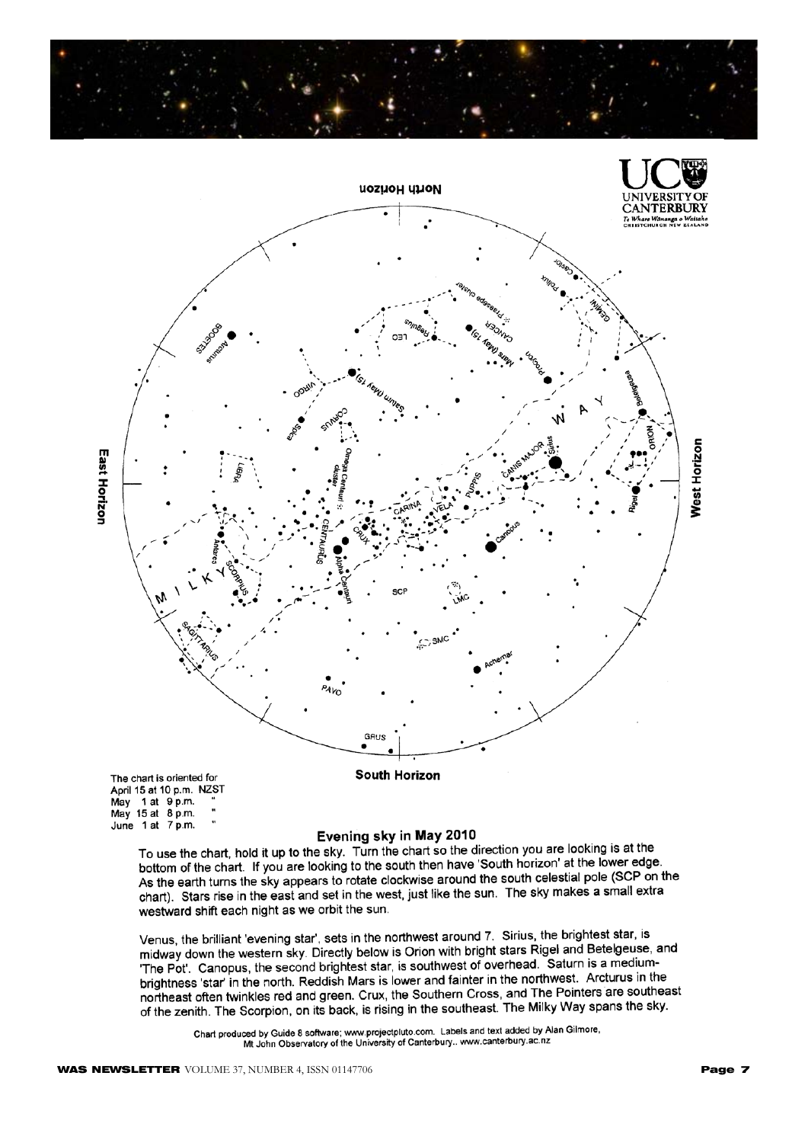



Evening sky in May 2010

To use the chart, hold it up to the sky. Turn the chart so the direction you are looking is at the To use the chart, note it up to the sky. Turn the chart so the direction you are footing to accurate<br>bottom of the chart. If you are looking to the south then have 'South horizon' at the lower edge. As the earth turns the sky appears to rotate clockwise around the south celestial pole (SCP on the<br>As the earth turns the sky appears to rotate clockwise around the south celestial pole (SCP on the chart). Stars rise in the east and set in the west, just like the sun. The sky makes a small extra westward shift each night as we orbit the sun.

Venus, the brilliant 'evening star', sets in the northwest around 7. Sirius, the brightest star, is midway down the western sky. Directly below is Orion with bright stars Rigel and Betelgeuse, and<br>midway down the western sky. Directly below is Orion with bright stars Rigel and Betelgeuse, and The Pot. Canopus, the second brightest star, is southwest of overhead. Saturn is a medium-<br>The Pot. Canopus, the second brightest star, is southwest of overhead. Saturn is a medium-The Pot. Canopus, the second prightest star, is southwest of overhead. Sataring a measurement.<br>Brightness 'star' in the north. Reddish Mars is lower and fainter in the northwest. Arcturus in the brightness star in the north. Reddish was is lower and failter in the Horthwest. The called in the control of<br>northeast often twinkles red and green. Crux, the Southern Cross, and The Pointers are southeast of the zenith. The Scorpion, on its back, is rising in the southeast. The Milky Way spans the sky.

Chart produced by Guide 8 software; www.projectpluto.com. Labels and text added by Alan Gilmore, Mt John Observatory of the University of Canterbury... www.canterbury.ac.nz

June 1 at 7 p.m.